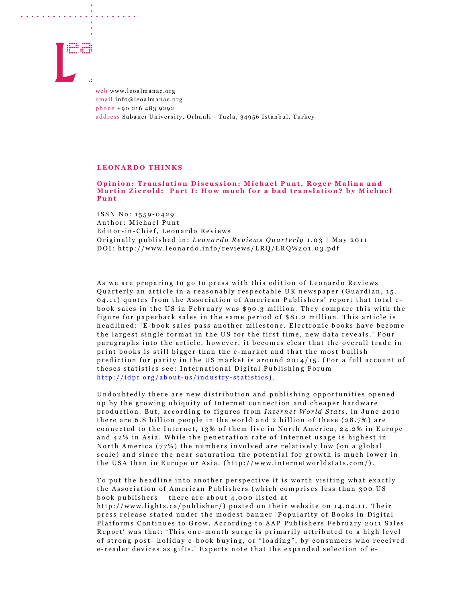

and the contract of the contract of the contract of the contract of the contract of the contract of the contract of the contract of the contract of the contract of the contract of the contract of the contract of the contra

web www.leoalmanac.org email info@leoalmanac.org phone +90 216 483 9292 address Sabancı University, Orhanli - Tuzla, 34956 Istanbul, Turkey

## LEONARDO THINKS

## Opinion: Translation Discussion: Michael Punt, Roger Malina and Martin Zierold: Part I: How much for a bad translation? by Michael P u n t

ISSN No: 1559-0429 Author: Michael Punt Editor-in-Chief, Leonardo Reviews Originally published in: Leonardo Reviews Quarterly 1.03 | May 2011 DOI: http://www.leonardo.info/reviews/LRQ/LRQ%201.03.pdf

As we are preparing to go to press with this edition of Leonardo Reviews Quarterly an article in a reasonably respectable UK newspaper (Guardian, 15. 04.11) quotes from the Association of American Publishers' report that total ebook sales in the US in February was \$90.3 million. They compare this with the figure for paperback sales in the same period of \$81.2 million. This article is headlined: 'E-book sales pass another milestone. Electronic books have become the largest single format in the US for the first time, new data reveals.' Four paragraphs into the article, however, it becomes clear that the overall trade in print books is still bigger than the e-market and that the most bullish prediction for parity in the US market is around  $2014/15$ . (For a full account of theses statistics see: International Digital Publishing Forum http://idpf.org/about-us/industry-statistics).

Undoubtedly there are new distribution and publishing opportunities opened up by the growing ubiquity of Internet connection and cheaper hardware production. But, according to figures from Internet World Stats, in June 2010 there are 6.8 billion people in the world and 2 billion of these  $(28.7%)$  are connected to the Internet, 13% of them live in North America, 24.2% in Europe and 42% in Asia. While the penetration rate of Internet usage is highest in North America ( $77\%$ ) the numbers involved are relatively low (on a global scale) and since the near saturation the potential for growth is much lower in the USA than in Europe or Asia. (http://www.internetworldstats.com/).

To put the headline into another perspective it is worth visiting what exactly the Association of American Publishers (which comprises less than 300 US book publishers - there are about 4,000 listed at http://www.lights.ca/publisher/) posted on their website on 14.04.11. Their press release stated under the modest banner 'Popularity of Books in Digital Platforms Continues to Grow, According to AAP Publishers February 2011 Sales Report' was that: 'This one-month surge is primarily attributed to a high level of strong post-holiday e-book buying, or "loading", by consumers who received e-reader devices as gifts.' Experts note that the expanded selection of e-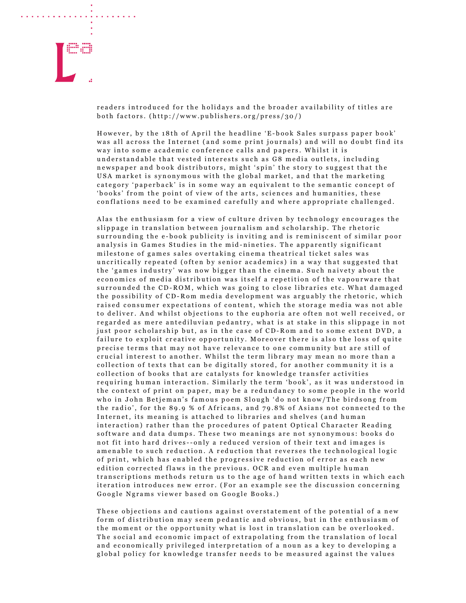

readers introduced for the holidays and the broader availability of titles are both factors.  $(http://www.publishers.org/press/30/)$ 

However, by the 18th of April the headline 'E-book Sales surpass paper book' was all across the Internet (and some print journals) and will no doubt find its way into some academic conference calls and papers. Whilst it is understandable that vested interests such as G8 media outlets, including newspaper and book distributors, might 'spin' the story to suggest that the USA market is synonymous with the global market, and that the marketing category 'paperback' is in some way an equivalent to the semantic concept of 'books' from the point of view of the arts, sciences and humanities, these conflations need to be examined carefully and where appropriate challenged.

Alas the enthusiasm for a view of culture driven by technology encourages the slippage in translation between journalism and scholarship. The rhetoric surrounding the e-book publicity is inviting and is reminiscent of similar poor an alysis in Games Studies in the mid-nineties. The apparently significant milestone of games sales overtaking cinema theatrical ticket sales was uncritically repeated (often by senior academics) in a way that suggested that the 'games industry' was now bigger than the cinema. Such naivety about the economics of media distribution was itself a repetition of the vapourware that surrounded the CD-ROM, which was going to close libraries etc. What damaged the possibility of CD-Rom media development was arguably the rhetoric, which raised consumer expectations of content, which the storage media was not able to deliver. And whilst objections to the euphoria are often not well received, or regarded as mere antediluvian pedantry, what is at stake in this slippage in not just poor scholarship but, as in the case of CD-Rom and to some extent DVD, a failure to exploit creative opportunity. Moreover there is also the loss of quite precise terms that may not have relevance to one community but are still of crucial interest to another. Whilst the term library may mean no more than a collection of texts that can be digitally stored, for another community it is a collection of books that are catalysts for knowledge transfer activities requiring human interaction. Similarly the term 'book', as it was understood in the context of print on paper, may be a redundancy to some people in the world who in John Betjeman's famous poem Slough 'do not know/The birdsong from the radio', for the 89.9 % of Africans, and  $79.8\%$  of Asians not connected to the Internet, its meaning is attached to libraries and shelves (and human interaction) rather than the procedures of patent Optical Character Reading software and data dumps. These two meanings are not synonymous: books do not fit into hard drives--only a reduced version of their text and images is amenable to such reduction. A reduction that reverses the technological logic of print, which has enabled the progressive reduction of error as each new edition corrected flaws in the previous. OCR and even multiple human transcriptions methods return us to the age of hand written texts in which each iteration introduces new error. (For an example see the discussion concerning Google Ngrams viewer based on Google Books.)

These objections and cautions against overstatement of the potential of a new form of distribution may seem pedantic and obvious, but in the enthusiasm of the moment or the opportunity what is lost in translation can be overlooked. The social and economic impact of extrapolating from the translation of local and economically privileged interpretation of a noun as a key to developing a global policy for knowledge transfer needs to be measured against the values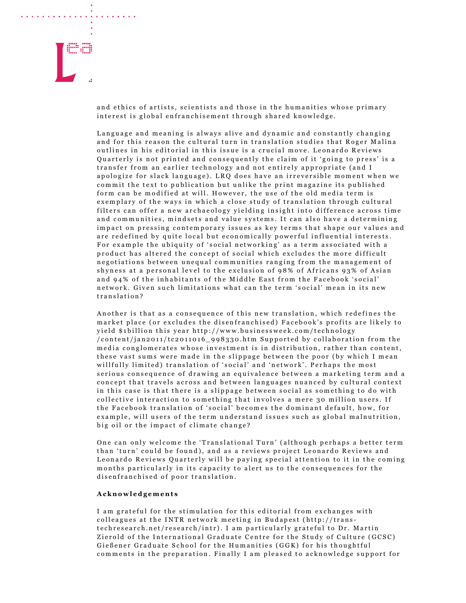

and a series of the contract of the

and ethics of artists, scientists and those in the humanities whose primary interest is global enfranchisement through shared knowledge.

Language and meaning is always alive and dynamic and constantly changing and for this reason the cultural turn in translation studies that Roger Malina outlines in his editorial in this issue is a crucial move. Leonardo Reviews Quarterly is not printed and consequently the claim of it 'going to press' is a transfer from an earlier technology and not entirely appropriate (and I apologize for slack language). LRQ does have an irreversible moment when we commit the text to publication but unlike the print magazine its published form can be modified at will. However, the use of the old media term is exemplary of the ways in which a close study of translation through cultural filters can offer a new archaeology yielding insight into difference across time and communities, mindsets and value systems. It can also have a determining impact on pressing contemporary issues as key terms that shape our values and are redefined by quite local but economically powerful influential interests. For example the ubiquity of 'social networking' as a term associated with a product has altered the concept of social which excludes the more difficult negotiations between unequal communities ranging from the management of shyness at a personal level to the exclusion of 98% of Africans 93% of Asian and 94% of the inhabitants of the Middle East from the Facebook 'social' network. Given such limitations what can the term 'social' mean in its new translation?

Another is that as a consequence of this new translation, which redefines the market place (or excludes the disenfranchised) Facebook's profits are likely to yield \$1billion this year http://www.businessweek.com/technology  $/$ content $/$ jan2011 $/$ tc2011016\_998330.htm Supported by collaboration from the media conglomerates whose investment is in distribution, rather than content, these vast sums were made in the slippage between the poor (by which I mean willfully limited) translation of 'social' and 'network'. Perhaps the most serious consequence of drawing an equivalence between a marketing term and a concept that travels across and between languages nuanced by cultural context in this case is that there is a slippage between social as something to do with collective interaction to something that involves a mere 30 million users. If the Facebook translation of 'social' becomes the dominant default, how, for example, will users of the term understand issues such as global malnutrition, big oil or the impact of climate change?

One can only welcome the 'Translational Turn' (although perhaps a better term than 'turn' could be found), and as a reviews project Leonardo Reviews and Leonardo Reviews Quarterly will be paying special attention to it in the coming months particularly in its capacity to alert us to the consequences for the disenfranchised of poor translation.

## A c k n o w l e d g e m e n t s

I am grateful for the stimulation for this editorial from exchanges with colleagues at the INTR network meeting in Budapest (http://transtechresearch.net/research/intr). I am particularly grateful to Dr. Martin Zierold of the International Graduate Centre for the Study of Culture (GCSC) Gießener Graduate School for the Humanities (GGK) for his thoughtful comments in the preparation. Finally I am pleased to acknowledge support for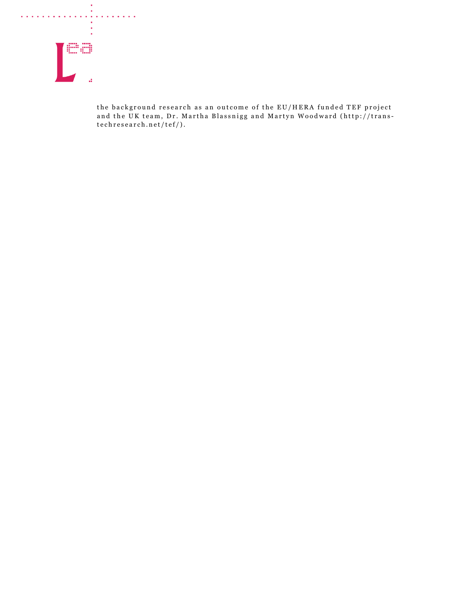

the background research as an outcome of the EU/HERA funded TEF project and the UK team, Dr. Martha Blassnigg and Martyn Woodward (http://trans $techresearch.net/tef/).$